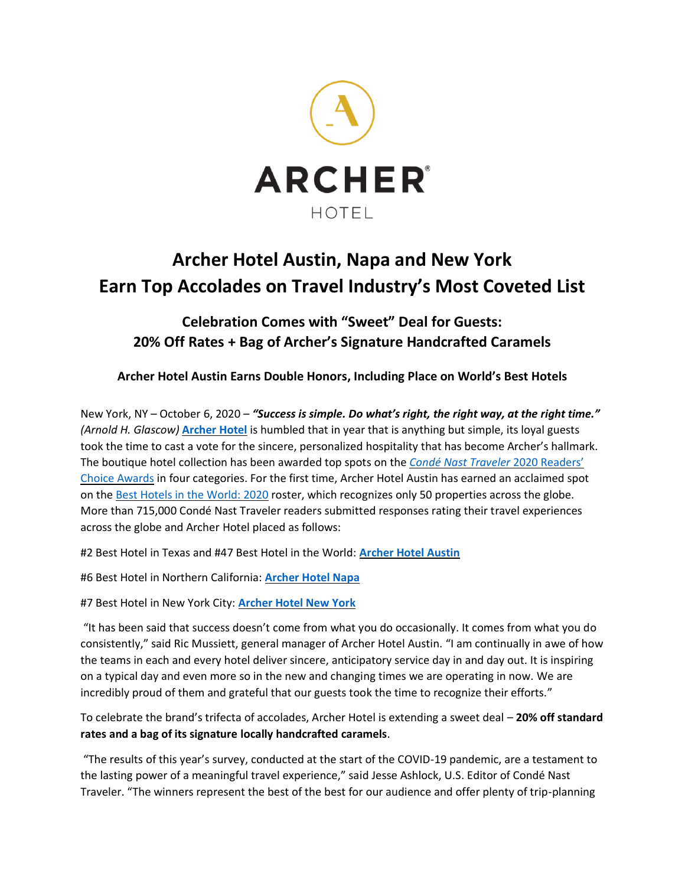

## **Archer Hotel Austin, Napa and New York Earn Top Accolades on Travel Industry's Most Coveted List**

## **Celebration Comes with "Sweet" Deal for Guests: 20% Off Rates + Bag of Archer's Signature Handcrafted Caramels**

**Archer Hotel Austin Earns Double Honors, Including Place on World's Best Hotels**

New York, NY – October 6, 2020 – *"Success is simple. Do what's right, the right way, at the right time." (Arnold H. Glascow)* **[Archer Hotel](https://archerhotel.com/)** is humbled that in year that is anything but simple, its loyal guests took the time to cast a vote for the sincere, personalized hospitality that has become Archer's hallmark. The boutique hotel collection has been awarded top spots on the *[Condé Nast Traveler](https://www.cntraveler.com/the-bests/readers-choice-awards)* 2020 Readers' [Choice Awards](https://www.cntraveler.com/the-bests/readers-choice-awards) in four categories. For the first time, Archer Hotel Austin has earned an acclaimed spot on th[e Best Hotels in the World: 2020](https://www.cntraveler.com/gallery/the-best-hotels-in-the-world) roster, which recognizes only 50 properties across the globe. More than 715,000 Condé Nast Traveler readers submitted responses rating their travel experiences across the globe and Archer Hotel placed as follows:

#2 Best Hotel in Texas and #47 Best Hotel in the World: **[Archer Hotel Austin](https://archerhotel.com/austin)**

#6 Best Hotel in Northern California: **[Archer Hotel Napa](https://archerhotel.com/napa)**

#7 Best Hotel in New York City: **[Archer Hotel New York](https://archerhotel.com/new-york)**

"It has been said that success doesn't come from what you do occasionally. It comes from what you do consistently," said Ric Mussiett, general manager of Archer Hotel Austin. "I am continually in awe of how the teams in each and every hotel deliver sincere, anticipatory service day in and day out. It is inspiring on a typical day and even more so in the new and changing times we are operating in now. We are incredibly proud of them and grateful that our guests took the time to recognize their efforts."

To celebrate the brand's trifecta of accolades, Archer Hotel is extending a sweet deal – **20% off standard rates and a bag of its signature locally handcrafted caramels**.

"The results of this year's survey, conducted at the start of the COVID-19 pandemic, are a testament to the lasting power of a meaningful travel experience," said Jesse Ashlock, U.S. Editor of Condé Nast Traveler. "The winners represent the best of the best for our audience and offer plenty of trip-planning